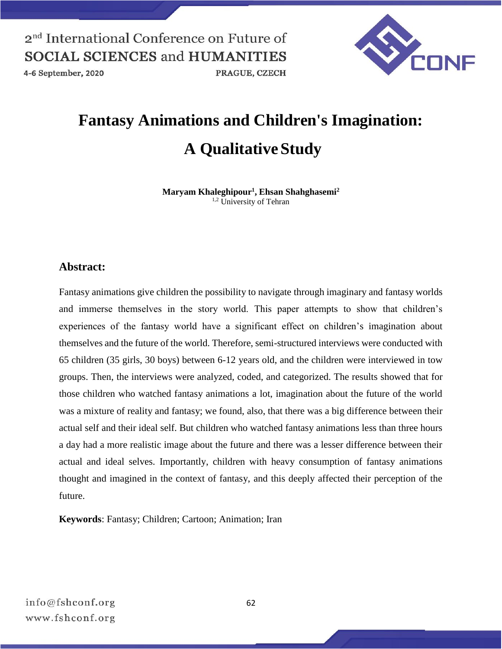

4-6 September, 2020

PRAGUE, CZECH

# **Fantasy Animations and Children's Imagination: A Qualitative Study**

**Maryam Khaleghipour<sup>1</sup> , Ehsan Shahghasemi<sup>2</sup>** <sup>1,2</sup> University of Tehran

### **Abstract:**

Fantasy animations give children the possibility to navigate through imaginary and fantasy worlds and immerse themselves in the story world. This paper attempts to show that children's experiences of the fantasy world have a significant effect on children's imagination about themselves and the future of the world. Therefore, semi-structured interviews were conducted with 65 children (35 girls, 30 boys) between 6-12 years old, and the children were interviewed in tow groups. Then, the interviews were analyzed, coded, and categorized. The results showed that for those children who watched fantasy animations a lot, imagination about the future of the world was a mixture of reality and fantasy; we found, also, that there was a big difference between their actual self and their ideal self. But children who watched fantasy animations less than three hours a day had a more realistic image about the future and there was a lesser difference between their actual and ideal selves. Importantly, children with heavy consumption of fantasy animations thought and imagined in the context of fantasy, and this deeply affected their perception of the future.

**Keywords**: Fantasy; Children; Cartoon; Animation; Iran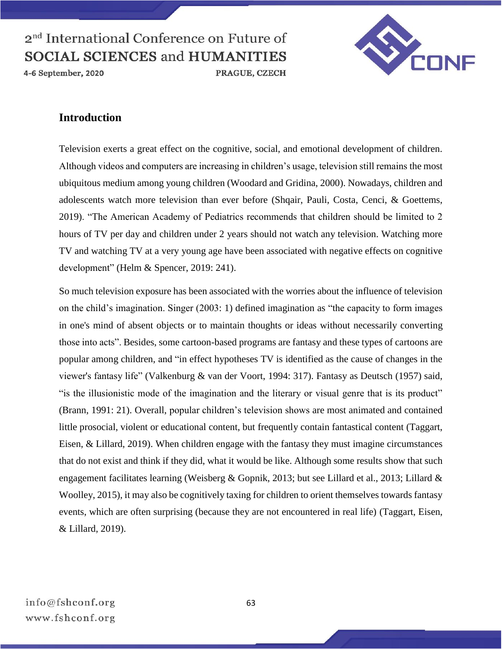4-6 September, 2020



### **Introduction**

Television exerts a great effect on the cognitive, social, and emotional development of children. Although videos and computers are increasing in children's usage, television still remains the most ubiquitous medium among young children (Woodard and Gridina, 2000). Nowadays, children and adolescents watch more television than ever before (Shqair, Pauli, Costa, Cenci, & Goettems, 2019). "The American Academy of Pediatrics recommends that children should be limited to 2 hours of TV per day and children under 2 years should not watch any television. Watching more TV and watching TV at a very young age have been associated with negative effects on cognitive development" (Helm & Spencer, 2019: 241).

So much television exposure has been associated with the worries about the influence of television on the child's imagination. Singer (2003: 1) defined imagination as "the capacity to form images in one's mind of absent objects or to maintain thoughts or ideas without necessarily converting those into acts". Besides, some cartoon-based programs are fantasy and these types of cartoons are popular among children, and "in effect hypotheses TV is identified as the cause of changes in the viewer's fantasy life" (Valkenburg & van der Voort, 1994: 317). Fantasy as Deutsch (1957) said, "is the illusionistic mode of the imagination and the literary or visual genre that is its product" (Brann, 1991: 21). Overall, popular children's television shows are most animated and contained little prosocial, violent or educational content, but frequently contain fantastical content (Taggart, Eisen, & Lillard, 2019). When children engage with the fantasy they must imagine circumstances that do not exist and think if they did, what it would be like. Although some results show that such engagement facilitates learning (Weisberg & Gopnik, 2013; but see Lillard et al., 2013; Lillard & Woolley, 2015), it may also be cognitively taxing for children to orient themselves towards fantasy events, which are often surprising (because they are not encountered in real life) (Taggart, Eisen, & Lillard, 2019).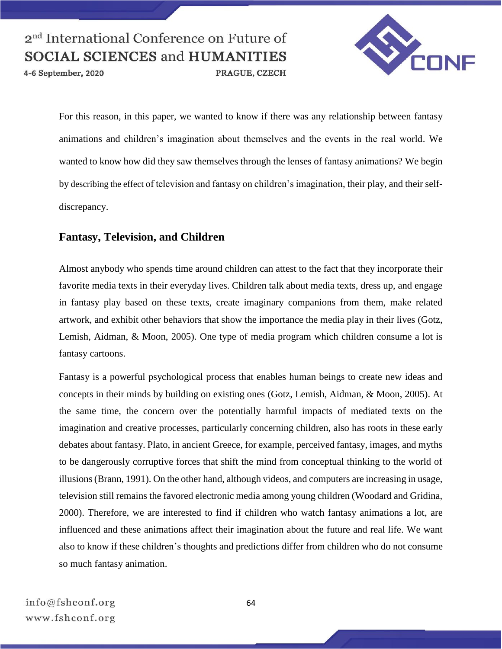4-6 September, 2020

PRAGUE, CZECH



For this reason, in this paper, we wanted to know if there was any relationship between fantasy animations and children's imagination about themselves and the events in the real world. We wanted to know how did they saw themselves through the lenses of fantasy animations? We begin by describing the effect of television and fantasy on children's imagination, their play, and their selfdiscrepancy.

### **Fantasy, Television, and Children**

Almost anybody who spends time around children can attest to the fact that they incorporate their favorite media texts in their everyday lives. Children talk about media texts, dress up, and engage in fantasy play based on these texts, create imaginary companions from them, make related artwork, and exhibit other behaviors that show the importance the media play in their lives (Gotz, Lemish, Aidman, & Moon, 2005). One type of media program which children consume a lot is fantasy cartoons.

Fantasy is a powerful psychological process that enables human beings to create new ideas and concepts in their minds by building on existing ones (Gotz, Lemish, Aidman, & Moon, 2005). At the same time, the concern over the potentially harmful impacts of mediated texts on the imagination and creative processes, particularly concerning children, also has roots in these early debates about fantasy. Plato, in ancient Greece, for example, perceived fantasy, images, and myths to be dangerously corruptive forces that shift the mind from conceptual thinking to the world of illusions (Brann, 1991). On the other hand, although videos, and computers are increasing in usage, television still remains the favored electronic media among young children (Woodard and Gridina, 2000). Therefore, we are interested to find if children who watch fantasy animations a lot, are influenced and these animations affect their imagination about the future and real life. We want also to know if these children's thoughts and predictions differ from children who do not consume so much fantasy animation.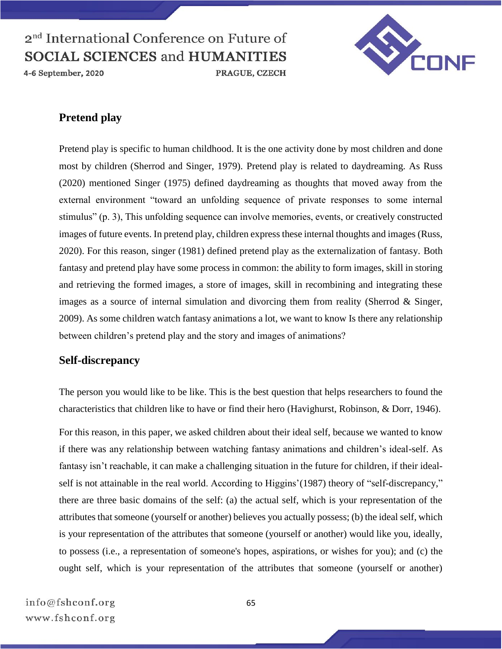4-6 September, 2020



## **Pretend play**

Pretend play is specific to human childhood. It is the one activity done by most children and done most by children (Sherrod and Singer, 1979). Pretend play is related to daydreaming. As Russ (2020) mentioned Singer (1975) defined daydreaming as thoughts that moved away from the external environment "toward an unfolding sequence of private responses to some internal stimulus" (p. 3), This unfolding sequence can involve memories, events, or creatively constructed images of future events. In pretend play, children express these internal thoughts and images (Russ, 2020). For this reason, singer (1981) defined pretend play as the externalization of fantasy. Both fantasy and pretend play have some process in common: the ability to form images, skill in storing and retrieving the formed images, a store of images, skill in recombining and integrating these images as a source of internal simulation and divorcing them from reality (Sherrod & Singer, 2009). As some children watch fantasy animations a lot, we want to know Is there any relationship between children's pretend play and the story and images of animations?

### **Self-discrepancy**

The person you would like to be like. This is the best question that helps researchers to found the characteristics that children like to have or find their hero (Havighurst, Robinson, & Dorr, 1946).

For this reason, in this paper, we asked children about their ideal self, because we wanted to know if there was any relationship between watching fantasy animations and children's ideal-self. As fantasy isn't reachable, it can make a challenging situation in the future for children, if their idealself is not attainable in the real world. According to Higgins' (1987) theory of "self-discrepancy," there are three basic domains of the self: (a) the actual self, which is your representation of the attributes that someone (yourself or another) believes you actually possess; (b) the ideal self, which is your representation of the attributes that someone (yourself or another) would like you, ideally, to possess (i.e., a representation of someone's hopes, aspirations, or wishes for you); and (c) the ought self, which is your representation of the attributes that someone (yourself or another)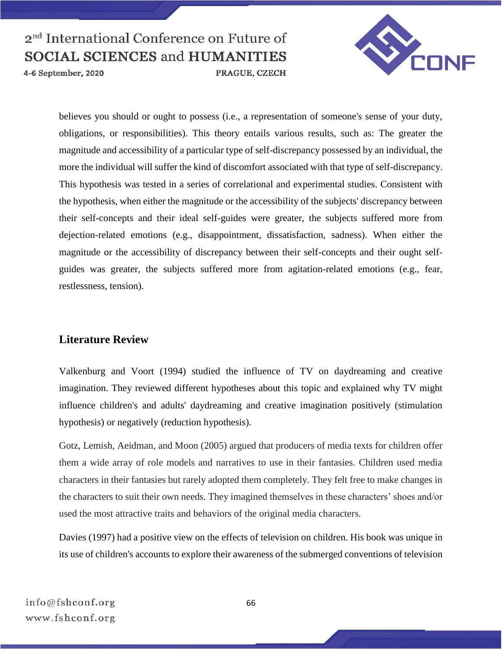

4-6 September, 2020

believes you should or ought to possess (i.e., a representation of someone's sense of your duty, obligations, or responsibilities). This theory entails various results, such as: The greater the magnitude and accessibility of a particular type of self-discrepancy possessed by an individual, the more the individual will suffer the kind of discomfort associated with that type of self-discrepancy. This hypothesis was tested in a series of correlational and experimental studies. Consistent with the hypothesis, when either the magnitude or the accessibility of the subjects' discrepancy between their self-concepts and their ideal self-guides were greater, the subjects suffered more from dejection-related emotions (e.g., disappointment, dissatisfaction, sadness). When either the magnitude or the accessibility of discrepancy between their self-concepts and their ought selfguides was greater, the subjects suffered more from agitation-related emotions (e.g., fear, restlessness, tension).

## **Literature Review**

Valkenburg and Voort (1994) studied the influence of TV on daydreaming and creative imagination. They reviewed different hypotheses about this topic and explained why TV might influence children's and adults' daydreaming and creative imagination positively (stimulation hypothesis) or negatively (reduction hypothesis).

Gotz, Lemish, Aeidman, and Moon (2005) argued that producers of media texts for children offer them a wide array of role models and narratives to use in their fantasies. Children used media characters in their fantasies but rarely adopted them completely. They felt free to make changes in the characters to suit their own needs. They imagined themselves in these characters' shoes and/or used the most attractive traits and behaviors of the original media characters.

Davies (1997) had a positive view on the effects of television on children. His book was unique in its use of children's accounts to explore their awareness of the submerged conventions of television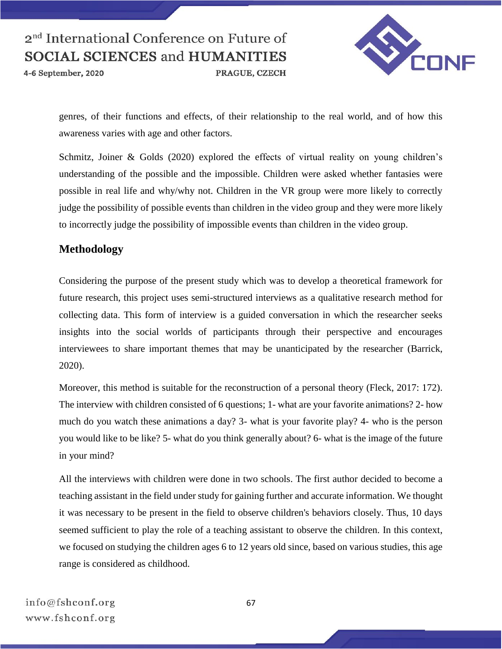4-6 September, 2020

VEDNF

PRAGUE, CZECH

genres, of their functions and effects, of their relationship to the real world, and of how this awareness varies with age and other factors.

Schmitz, Joiner & Golds (2020) explored the effects of virtual reality on young children's understanding of the possible and the impossible. Children were asked whether fantasies were possible in real life and why/why not. Children in the VR group were more likely to correctly judge the possibility of possible events than children in the video group and they were more likely to incorrectly judge the possibility of impossible events than children in the video group.

## **Methodology**

Considering the purpose of the present study which was to develop a theoretical framework for future research, this project uses semi-structured interviews as a qualitative research method for collecting data. This form of interview is a guided conversation in which the researcher seeks insights into the social worlds of participants through their perspective and encourages interviewees to share important themes that may be unanticipated by the researcher (Barrick, 2020).

Moreover, this method is suitable for the reconstruction of a personal theory (Fleck, 2017: 172). The interview with children consisted of 6 questions; 1- what are your favorite animations? 2- how much do you watch these animations a day? 3- what is your favorite play? 4- who is the person you would like to be like? 5- what do you think generally about? 6- what is the image of the future in your mind?

All the interviews with children were done in two schools. The first author decided to become a teaching assistant in the field under study for gaining further and accurate information. We thought it was necessary to be present in the field to observe children's behaviors closely. Thus, 10 days seemed sufficient to play the role of a teaching assistant to observe the children. In this context, we focused on studying the children ages 6 to 12 years old since, based on various studies, this age range is considered as childhood.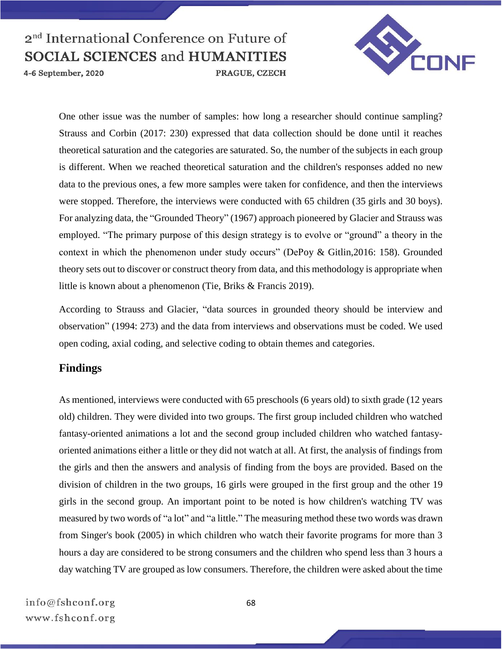

4-6 September, 2020

One other issue was the number of samples: how long a researcher should continue sampling? Strauss and Corbin (2017: 230) expressed that data collection should be done until it reaches theoretical saturation and the categories are saturated. So, the number of the subjects in each group is different. When we reached theoretical saturation and the children's responses added no new data to the previous ones, a few more samples were taken for confidence, and then the interviews were stopped. Therefore, the interviews were conducted with 65 children (35 girls and 30 boys). For analyzing data, the "Grounded Theory" (1967) approach pioneered by Glacier and Strauss was employed. "The primary purpose of this design strategy is to evolve or "ground" a theory in the context in which the phenomenon under study occurs" (DePoy & Gitlin,2016: 158). Grounded theory sets out to discover or construct theory from data, and this methodology is appropriate when little is known about a phenomenon (Tie, Briks & Francis 2019).

According to Strauss and Glacier, "data sources in grounded theory should be interview and observation" (1994: 273) and the data from interviews and observations must be coded. We used open coding, axial coding, and selective coding to obtain themes and categories.

### **Findings**

As mentioned, interviews were conducted with 65 preschools (6 years old) to sixth grade (12 years old) children. They were divided into two groups. The first group included children who watched fantasy-oriented animations a lot and the second group included children who watched fantasyoriented animations either a little or they did not watch at all. At first, the analysis of findings from the girls and then the answers and analysis of finding from the boys are provided. Based on the division of children in the two groups, 16 girls were grouped in the first group and the other 19 girls in the second group. An important point to be noted is how children's watching TV was measured by two words of "a lot" and "a little." The measuring method these two words was drawn from Singer's book (2005) in which children who watch their favorite programs for more than 3 hours a day are considered to be strong consumers and the children who spend less than 3 hours a day watching TV are grouped as low consumers. Therefore, the children were asked about the time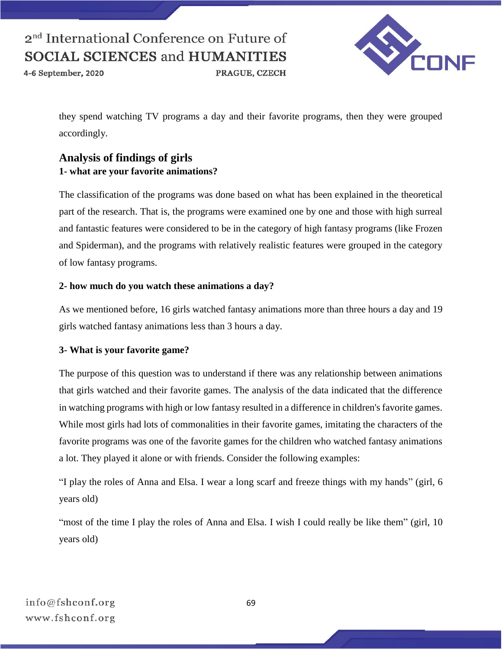4-6 September, 2020

PRAGUE, CZECH



they spend watching TV programs a day and their favorite programs, then they were grouped accordingly.

## **Analysis of findings of girls 1- what are your favorite animations?**

The classification of the programs was done based on what has been explained in the theoretical part of the research. That is, the programs were examined one by one and those with high surreal and fantastic features were considered to be in the category of high fantasy programs (like Frozen and Spiderman), and the programs with relatively realistic features were grouped in the category of low fantasy programs.

#### **2- how much do you watch these animations a day?**

As we mentioned before, 16 girls watched fantasy animations more than three hours a day and 19 girls watched fantasy animations less than 3 hours a day.

#### **3- What is your favorite game?**

The purpose of this question was to understand if there was any relationship between animations that girls watched and their favorite games. The analysis of the data indicated that the difference in watching programs with high or low fantasy resulted in a difference in children's favorite games. While most girls had lots of commonalities in their favorite games, imitating the characters of the favorite programs was one of the favorite games for the children who watched fantasy animations a lot. They played it alone or with friends. Consider the following examples:

"I play the roles of Anna and Elsa. I wear a long scarf and freeze things with my hands" (girl, 6 years old)

"most of the time I play the roles of Anna and Elsa. I wish I could really be like them" (girl, 10) years old)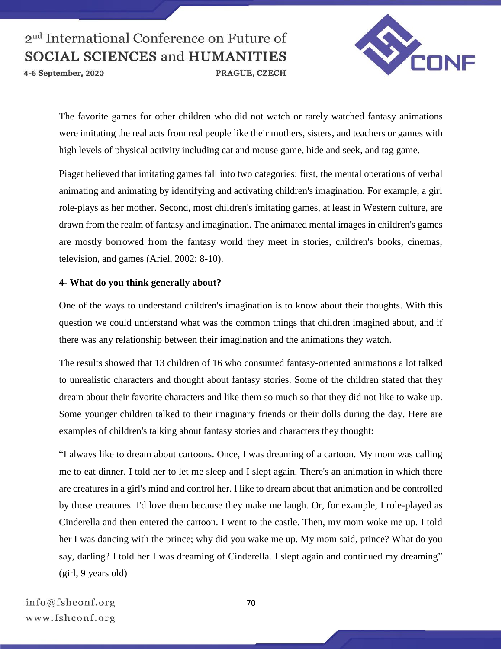4-6 September, 2020



The favorite games for other children who did not watch or rarely watched fantasy animations were imitating the real acts from real people like their mothers, sisters, and teachers or games with high levels of physical activity including cat and mouse game, hide and seek, and tag game.

Piaget believed that imitating games fall into two categories: first, the mental operations of verbal animating and animating by identifying and activating children's imagination. For example, a girl role-plays as her mother. Second, most children's imitating games, at least in Western culture, are drawn from the realm of fantasy and imagination. The animated mental images in children's games are mostly borrowed from the fantasy world they meet in stories, children's books, cinemas, television, and games (Ariel, 2002: 8-10).

#### **4- What do you think generally about?**

One of the ways to understand children's imagination is to know about their thoughts. With this question we could understand what was the common things that children imagined about, and if there was any relationship between their imagination and the animations they watch.

The results showed that 13 children of 16 who consumed fantasy-oriented animations a lot talked to unrealistic characters and thought about fantasy stories. Some of the children stated that they dream about their favorite characters and like them so much so that they did not like to wake up. Some younger children talked to their imaginary friends or their dolls during the day. Here are examples of children's talking about fantasy stories and characters they thought:

"I always like to dream about cartoons. Once, I was dreaming of a cartoon. My mom was calling me to eat dinner. I told her to let me sleep and I slept again. There's an animation in which there are creatures in a girl's mind and control her. I like to dream about that animation and be controlled by those creatures. I'd love them because they make me laugh. Or, for example, I role-played as Cinderella and then entered the cartoon. I went to the castle. Then, my mom woke me up. I told her I was dancing with the prince; why did you wake me up. My mom said, prince? What do you say, darling? I told her I was dreaming of Cinderella. I slept again and continued my dreaming" (girl, 9 years old)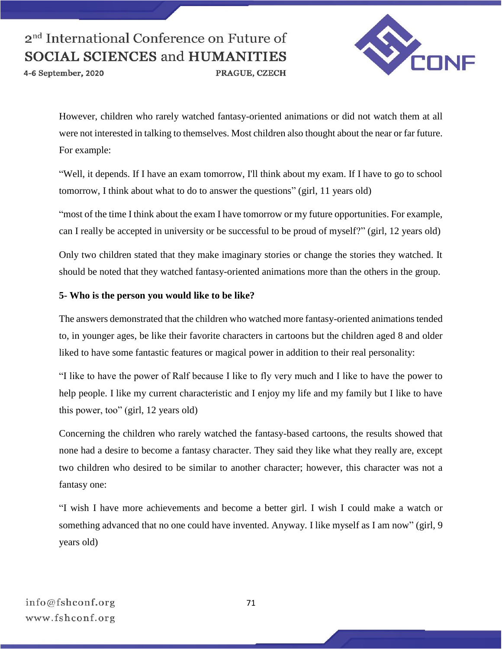4-6 September, 2020

PRAGUE, CZECH



However, children who rarely watched fantasy-oriented animations or did not watch them at all were not interested in talking to themselves. Most children also thought about the near or far future. For example:

"Well, it depends. If I have an exam tomorrow, I'll think about my exam. If I have to go to school tomorrow, I think about what to do to answer the questions" (girl, 11 years old)

"most of the time I think about the exam I have tomorrow or my future opportunities. For example, can I really be accepted in university or be successful to be proud of myself?" (girl, 12 years old)

Only two children stated that they make imaginary stories or change the stories they watched. It should be noted that they watched fantasy-oriented animations more than the others in the group.

#### **5- Who is the person you would like to be like?**

The answers demonstrated that the children who watched more fantasy-oriented animations tended to, in younger ages, be like their favorite characters in cartoons but the children aged 8 and older liked to have some fantastic features or magical power in addition to their real personality:

"I like to have the power of Ralf because I like to fly very much and I like to have the power to help people. I like my current characteristic and I enjoy my life and my family but I like to have this power, too" (girl, 12 years old)

Concerning the children who rarely watched the fantasy-based cartoons, the results showed that none had a desire to become a fantasy character. They said they like what they really are, except two children who desired to be similar to another character; however, this character was not a fantasy one:

"I wish I have more achievements and become a better girl. I wish I could make a watch or something advanced that no one could have invented. Anyway. I like myself as I am now" (girl, 9 years old)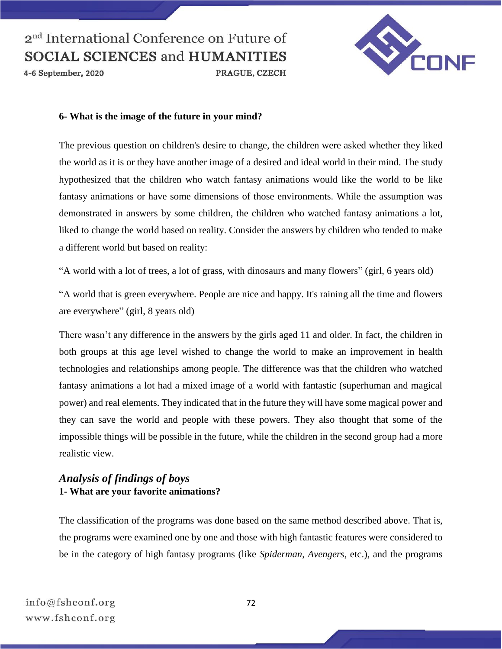4-6 September, 2020



#### **6- What is the image of the future in your mind?**

The previous question on children's desire to change, the children were asked whether they liked the world as it is or they have another image of a desired and ideal world in their mind. The study hypothesized that the children who watch fantasy animations would like the world to be like fantasy animations or have some dimensions of those environments. While the assumption was demonstrated in answers by some children, the children who watched fantasy animations a lot, liked to change the world based on reality. Consider the answers by children who tended to make a different world but based on reality:

"A world with a lot of trees, a lot of grass, with dinosaurs and many flowers" (girl, 6 years old)

"A world that is green everywhere. People are nice and happy. It's raining all the time and flowers are everywhere" (girl, 8 years old)

There wasn't any difference in the answers by the girls aged 11 and older. In fact, the children in both groups at this age level wished to change the world to make an improvement in health technologies and relationships among people. The difference was that the children who watched fantasy animations a lot had a mixed image of a world with fantastic (superhuman and magical power) and real elements. They indicated that in the future they will have some magical power and they can save the world and people with these powers. They also thought that some of the impossible things will be possible in the future, while the children in the second group had a more realistic view.

### *Analysis of findings of boys* **1- What are your favorite animations?**

The classification of the programs was done based on the same method described above. That is, the programs were examined one by one and those with high fantastic features were considered to be in the category of high fantasy programs (like *Spiderman*, *Avengers*, etc.), and the programs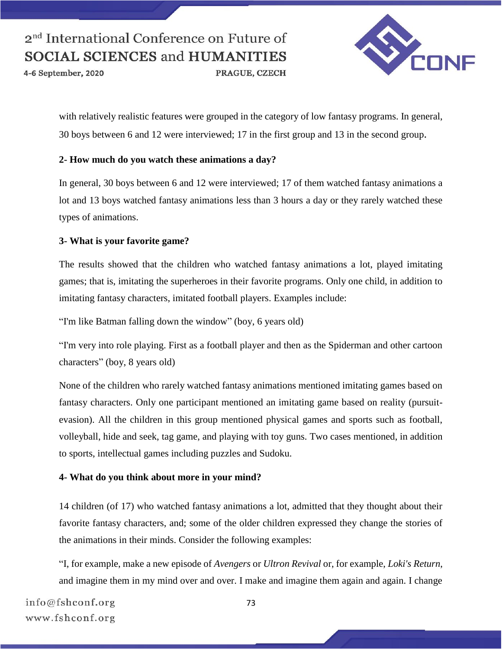4-6 September, 2020



with relatively realistic features were grouped in the category of low fantasy programs. In general, 30 boys between 6 and 12 were interviewed; 17 in the first group and 13 in the second group.

PRAGUE, CZECH

#### **2- How much do you watch these animations a day?**

In general, 30 boys between 6 and 12 were interviewed; 17 of them watched fantasy animations a lot and 13 boys watched fantasy animations less than 3 hours a day or they rarely watched these types of animations.

#### **3- What is your favorite game?**

The results showed that the children who watched fantasy animations a lot, played imitating games; that is, imitating the superheroes in their favorite programs. Only one child, in addition to imitating fantasy characters, imitated football players. Examples include:

"I'm like Batman falling down the window" (boy, 6 years old)

"I'm very into role playing. First as a football player and then as the Spiderman and other cartoon characters" (boy, 8 years old)

None of the children who rarely watched fantasy animations mentioned imitating games based on fantasy characters. Only one participant mentioned an imitating game based on reality (pursuitevasion). All the children in this group mentioned physical games and sports such as football, volleyball, hide and seek, tag game, and playing with toy guns. Two cases mentioned, in addition to sports, intellectual games including puzzles and Sudoku.

#### **4- What do you think about more in your mind?**

14 children (of 17) who watched fantasy animations a lot, admitted that they thought about their favorite fantasy characters, and; some of the older children expressed they change the stories of the animations in their minds. Consider the following examples:

"I, for example, make a new episode of *Avengers* or *Ultron Revival* or, for example, *Loki's Return*, and imagine them in my mind over and over. I make and imagine them again and again. I change

info@fshconf.org www.fshconf.org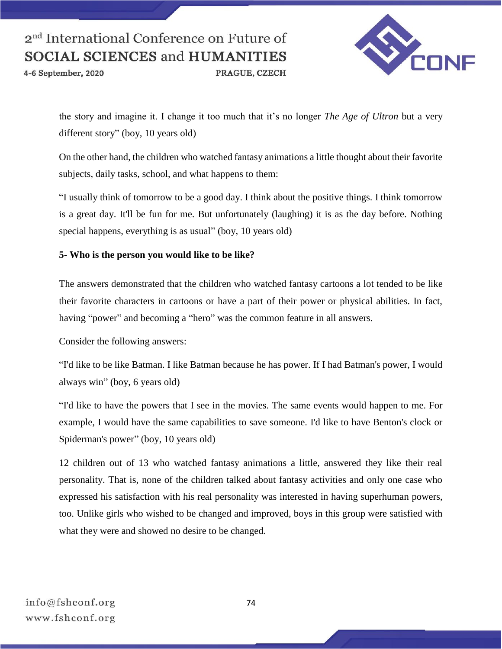4-6 September, 2020



the story and imagine it. I change it too much that it's no longer *The Age of Ultron* but a very different story" (boy, 10 years old)

PRAGUE, CZECH

On the other hand, the children who watched fantasy animations a little thought about their favorite subjects, daily tasks, school, and what happens to them:

"I usually think of tomorrow to be a good day. I think about the positive things. I think tomorrow is a great day. It'll be fun for me. But unfortunately (laughing) it is as the day before. Nothing special happens, everything is as usual" (boy, 10 years old)

#### **5- Who is the person you would like to be like?**

The answers demonstrated that the children who watched fantasy cartoons a lot tended to be like their favorite characters in cartoons or have a part of their power or physical abilities. In fact, having "power" and becoming a "hero" was the common feature in all answers.

Consider the following answers:

"I'd like to be like Batman. I like Batman because he has power. If I had Batman's power, I would always win" (boy, 6 years old)

"I'd like to have the powers that I see in the movies. The same events would happen to me. For example, I would have the same capabilities to save someone. I'd like to have Benton's clock or Spiderman's power" (boy, 10 years old)

12 children out of 13 who watched fantasy animations a little, answered they like their real personality. That is, none of the children talked about fantasy activities and only one case who expressed his satisfaction with his real personality was interested in having superhuman powers, too. Unlike girls who wished to be changed and improved, boys in this group were satisfied with what they were and showed no desire to be changed.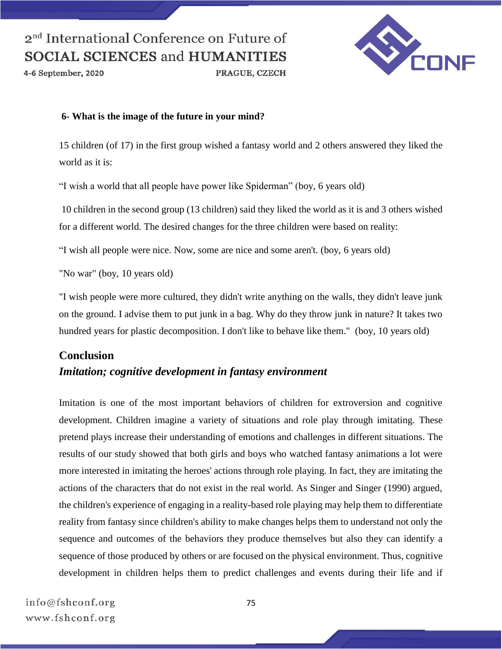4-6 September, 2020



#### **6- What is the image of the future in your mind?**

15 children (of 17) in the first group wished a fantasy world and 2 others answered they liked the world as it is:

PRAGUE, CZECH

"I wish a world that all people have power like Spiderman" (boy, 6 years old)

10 children in the second group (13 children) said they liked the world as it is and 3 others wished for a different world. The desired changes for the three children were based on reality:

"I wish all people were nice. Now, some are nice and some aren't. (boy, 6 years old)

"No war" (boy, 10 years old)

"I wish people were more cultured, they didn't write anything on the walls, they didn't leave junk on the ground. I advise them to put junk in a bag. Why do they throw junk in nature? It takes two hundred years for plastic decomposition. I don't like to behave like them." (boy, 10 years old)

## **Conclusion** *Imitation; cognitive development in fantasy environment*

Imitation is one of the most important behaviors of children for extroversion and cognitive development. Children imagine a variety of situations and role play through imitating. These pretend plays increase their understanding of emotions and challenges in different situations. The results of our study showed that both girls and boys who watched fantasy animations a lot were more interested in imitating the heroes' actions through role playing. In fact, they are imitating the actions of the characters that do not exist in the real world. As Singer and Singer (1990) argued, the children's experience of engaging in a reality-based role playing may help them to differentiate reality from fantasy since children's ability to make changes helps them to understand not only the sequence and outcomes of the behaviors they produce themselves but also they can identify a sequence of those produced by others or are focused on the physical environment. Thus, cognitive development in children helps them to predict challenges and events during their life and if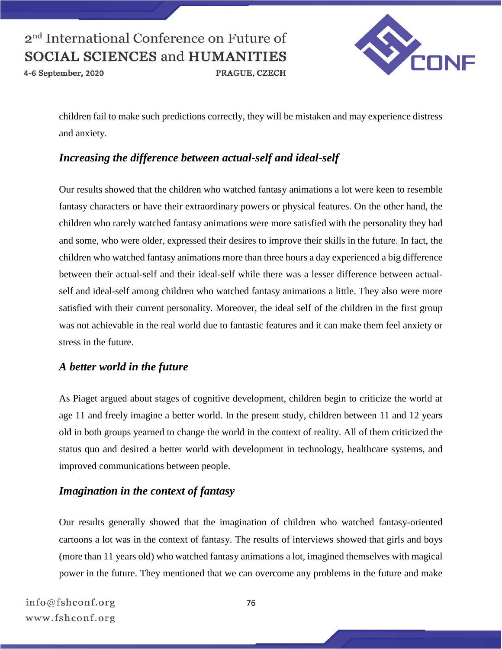

4-6 September, 2020



children fail to make such predictions correctly, they will be mistaken and may experience distress and anxiety.

## *Increasing the difference between actual-self and ideal-self*

Our results showed that the children who watched fantasy animations a lot were keen to resemble fantasy characters or have their extraordinary powers or physical features. On the other hand, the children who rarely watched fantasy animations were more satisfied with the personality they had and some, who were older, expressed their desires to improve their skills in the future. In fact, the children who watched fantasy animations more than three hours a day experienced a big difference between their actual-self and their ideal-self while there was a lesser difference between actualself and ideal-self among children who watched fantasy animations a little. They also were more satisfied with their current personality. Moreover, the ideal self of the children in the first group was not achievable in the real world due to fantastic features and it can make them feel anxiety or stress in the future.

## *A better world in the future*

As Piaget argued about stages of cognitive development, children begin to criticize the world at age 11 and freely imagine a better world. In the present study, children between 11 and 12 years old in both groups yearned to change the world in the context of reality. All of them criticized the status quo and desired a better world with development in technology, healthcare systems, and improved communications between people.

## *Imagination in the context of fantasy*

Our results generally showed that the imagination of children who watched fantasy-oriented cartoons a lot was in the context of fantasy. The results of interviews showed that girls and boys (more than 11 years old) who watched fantasy animations a lot, imagined themselves with magical power in the future. They mentioned that we can overcome any problems in the future and make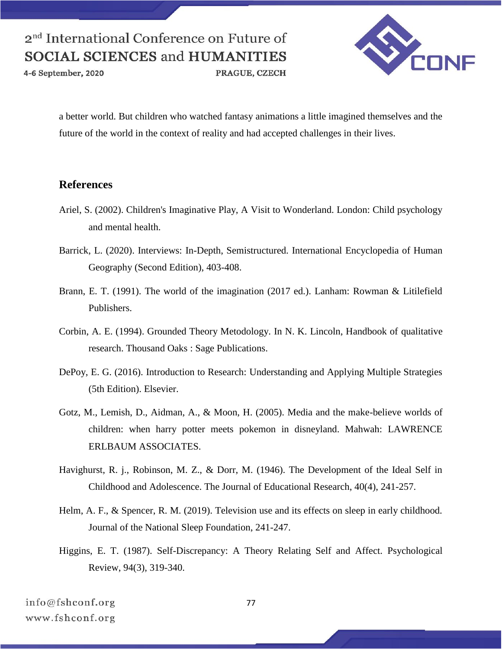4-6 September, 2020

PRAGUE, CZECH



a better world. But children who watched fantasy animations a little imagined themselves and the future of the world in the context of reality and had accepted challenges in their lives.

### **References**

- Ariel, S. (2002). Children's Imaginative Play, A Visit to Wonderland. London: Child psychology and mental health.
- Barrick, L. (2020). Interviews: In-Depth, Semistructured. International Encyclopedia of Human Geography (Second Edition), 403-408.
- Brann, E. T. (1991). The world of the imagination (2017 ed.). Lanham: Rowman & Litilefield Publishers.
- Corbin, A. E. (1994). Grounded Theory Metodology. In N. K. Lincoln, Handbook of qualitative research. Thousand Oaks : Sage Publications.
- DePoy, E. G. (2016). Introduction to Research: Understanding and Applying Multiple Strategies (5th Edition). Elsevier.
- Gotz, M., Lemish, D., Aidman, A., & Moon, H. (2005). Media and the make-believe worlds of children: when harry potter meets pokemon in disneyland. Mahwah: LAWRENCE ERLBAUM ASSOCIATES.
- Havighurst, R. j., Robinson, M. Z., & Dorr, M. (1946). The Development of the Ideal Self in Childhood and Adolescence. The Journal of Educational Research, 40(4), 241-257.
- Helm, A. F., & Spencer, R. M. (2019). Television use and its effects on sleep in early childhood. Journal of the National Sleep Foundation, 241-247.
- Higgins, E. T. (1987). Self-Discrepancy: A Theory Relating Self and Affect. Psychological Review, 94(3), 319-340.

info@fshconf.org www.fshconf.org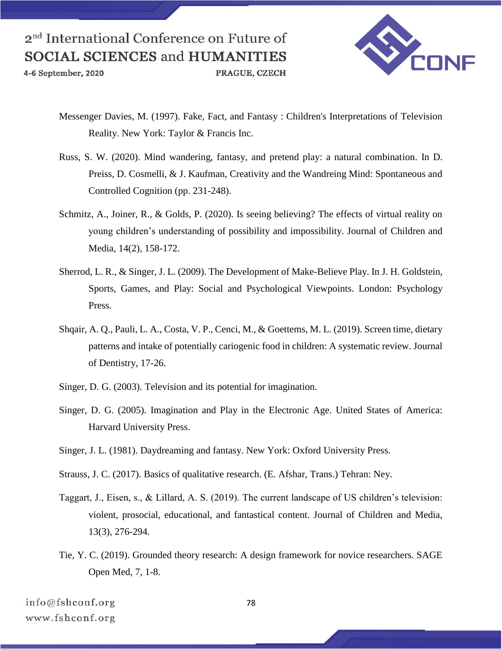4-6 September, 2020



- Messenger Davies, M. (1997). Fake, Fact, and Fantasy : Children's Interpretations of Television Reality. New York: Taylor & Francis Inc.
- Russ, S. W. (2020). Mind wandering, fantasy, and pretend play: a natural combination. In D. Preiss, D. Cosmelli, & J. Kaufman, Creativity and the Wandreing Mind: Spontaneous and Controlled Cognition (pp. 231-248).
- Schmitz, A., Joiner, R., & Golds, P. (2020). Is seeing believing? The effects of virtual reality on young children's understanding of possibility and impossibility. Journal of Children and Media, 14(2), 158-172.
- Sherrod, L. R., & Singer, J. L. (2009). The Development of Make-Believe Play. In J. H. Goldstein, Sports, Games, and Play: Social and Psychological Viewpoints. London: Psychology Press.
- Shqair, A. Q., Pauli, L. A., Costa, V. P., Cenci, M., & Goettems, M. L. (2019). Screen time, dietary patterns and intake of potentially cariogenic food in children: A systematic review. Journal of Dentistry, 17-26.
- Singer, D. G. (2003). Television and its potential for imagination.
- Singer, D. G. (2005). Imagination and Play in the Electronic Age. United States of America: Harvard University Press.
- Singer, J. L. (1981). Daydreaming and fantasy. New York: Oxford University Press.
- Strauss, J. C. (2017). Basics of qualitative research. (E. Afshar, Trans.) Tehran: Ney.
- Taggart, J., Eisen, s., & Lillard, A. S. (2019). The current landscape of US children's television: violent, prosocial, educational, and fantastical content. Journal of Children and Media, 13(3), 276-294.
- Tie, Y. C. (2019). Grounded theory research: A design framework for novice researchers. SAGE Open Med, 7, 1-8.

info@fshconf.org www.fshconf.org